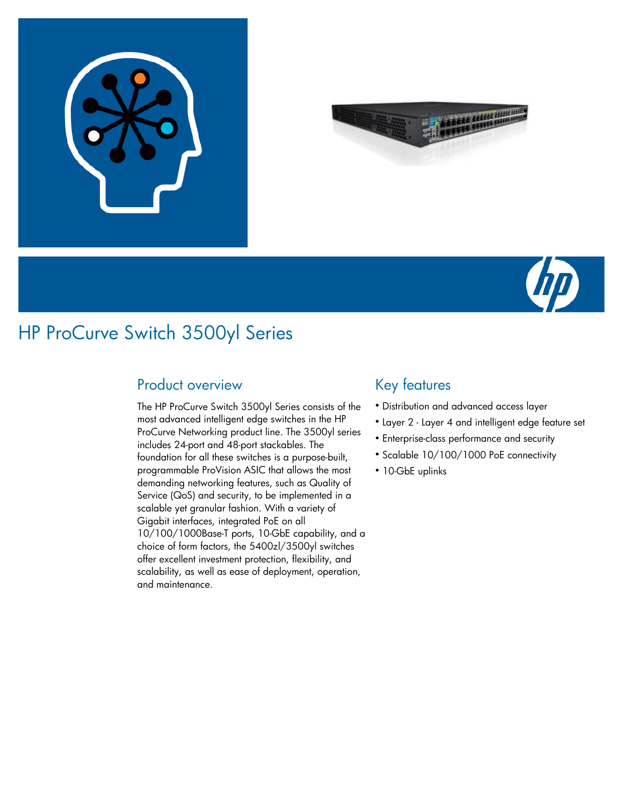





## HP ProCurve Switch 3500yl Series

### Product overview

The HP ProCurve Switch 3500yl Series consists of the most advanced intelligent edge switches in the HP ProCurve Networking product line. The 3500yl series includes 24-port and 48-port stackables. The foundation for all these switches is a purpose-built, programmable ProVision ASIC that allows the most demanding networking features, such as Quality of Service (QoS) and security, to be implemented in a scalable yet granular fashion. With a variety of Gigabit interfaces, integrated PoE on all 10/100/1000Base-T ports, 10-GbE capability, and a choice of form factors, the 5400zl/3500yl switches offer excellent investment protection, flexibility, and scalability, as well as ease of deployment, operation, and maintenance.

## Key features

- Distribution and advanced access layer
- Layer 2 Layer 4 and intelligent edge feature set
- **Enterprise-class performance and security**
- Scalable 10/100/1000 PoE connectivity
- 10-GbE uplinks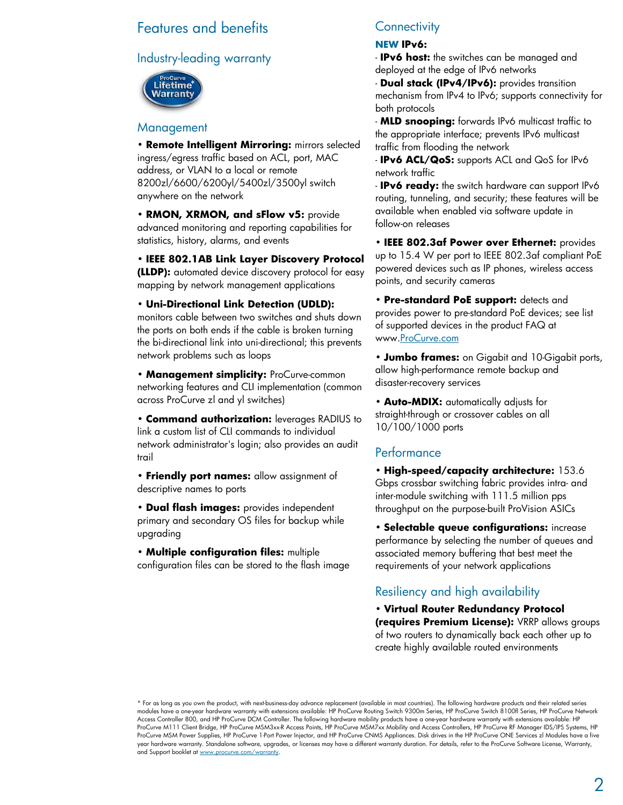#### Features and benefits

#### Industry-leading warranty



#### Management

• **Remote Intelligent Mirroring:** mirrors selected ingress/egress traffic based on ACL, port, MAC address, or VLAN to a local or remote 8200zl/6600/6200yl/5400zl/3500yl switch anywhere on the network

• **RMON, XRMON, and sFlow v5:** provide advanced monitoring and reporting capabilities for statistics, history, alarms, and events

• **IEEE 802.1AB Link Layer Discovery Protocol (LLDP):** automated device discovery protocol for easy mapping by network management applications

• **Uni-Directional Link Detection (UDLD):** monitors cable between two switches and shuts down the ports on both ends if the cable is broken turning the bi-directional link into uni-directional; this prevents network problems such as loops

• **Management simplicity:** ProCurve-common networking features and CLI implementation (common across ProCurve zl and yl switches)

• **Command authorization:** leverages RADIUS to link a custom list of CLI commands to individual network administrator's login; also provides an audit trail

• **Friendly port names:** allow assignment of descriptive names to ports

• **Dual flash images:** provides independent primary and secondary OS files for backup while upgrading

• **Multiple configuration files:** multiple configuration files can be stored to the flash image

#### **Connectivity**

#### **NEW IPv6:**

- **IPv6 host:** the switches can be managed and deployed at the edge of IPv6 networks

- **Dual stack (IPv4/IPv6):** provides transition mechanism from IPv4 to IPv6; supports connectivity for both protocols

- **MLD snooping:** forwards IPv6 multicast traffic to the appropriate interface; prevents IPv6 multicast traffic from flooding the network

- **IPv6 ACL/QoS:** supports ACL and QoS for IPv6 network traffic

- **IPv6 ready:** the switch hardware can support IPv6 routing, tunneling, and security; these features will be available when enabled via software update in follow-on releases

• **IEEE 802.3af Power over Ethernet:** provides up to 15.4 W per port to IEEE 802.3af compliant PoE powered devices such as IP phones, wireless access points, and security cameras

• **Pre-standard PoE support:** detects and provides power to pre-standard PoE devices; see list of supported devices in the product FAQ at www.ProCurve.com

• **Jumbo frames:** on Gigabit and 10-Gigabit ports, allow high-performance remote backup and disaster-recovery services

• **Auto-MDIX:** automatically adjusts for straight-through or crossover cables on all 10/100/1000 ports

#### Performance

• **High-speed/capacity architecture:** 153.6 Gbps crossbar switching fabric provides intra- and inter-module switching with 111.5 million pps throughput on the purpose-built ProVision ASICs

• **Selectable queue configurations:** increase performance by selecting the number of queues and associated memory buffering that best meet the requirements of your network applications

#### Resiliency and high availability

• **Virtual Router Redundancy Protocol (requires Premium License):** VRRP allows groups of two routers to dynamically back each other up to create highly available routed environments

\* For as long as you own the product, with next-business-day advance replacement (available in most countries). The following hardware products and their related series modules have a one-year hardware warranty with extensions available: HP ProCurve Routing Switch 9300m Series, HP ProCurve Switch 8100fl Series, HP ProCurve Network Access Controller 800, and HP ProCurve DCM Controller. The following hardware mobility products have a one-year hardware warranty with extensions available: HP ProCurve M111 Client Bridge, HP ProCurve MSM3xx-R Access Points, HP ProCurve MSM7xx Mobility and Access Controllers, HP ProCurve RF Manager IDS/IPS Systems, HP ProCurve MSM Power Supplies, HP ProCurve 1-Port Power Injector, and HP ProCurve CNMS Appliances. Disk drives in the HP ProCurve ONE Services zl Modules have a five year hardware warranty. Standalone software, upgrades, or licenses may have a different warranty duration. For details, refer to the ProCurve Software License, Warranty, and Support booklet at www.procurve.com/warranty.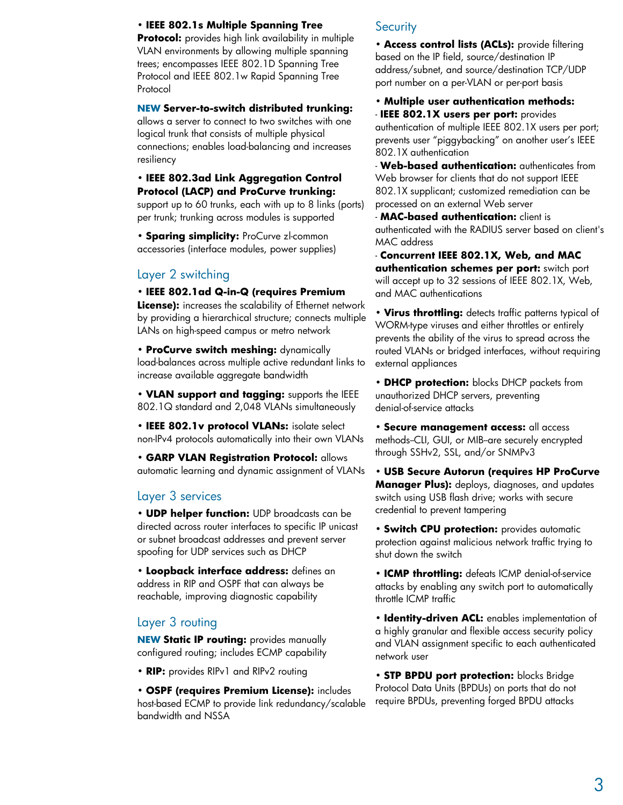#### • **IEEE 802.1s Multiple Spanning Tree**

**Protocol:** provides high link availability in multiple VLAN environments by allowing multiple spanning trees; encompasses IEEE 802.1D Spanning Tree Protocol and IEEE 802.1w Rapid Spanning Tree Protocol

#### **NEW Server-to-switch distributed trunking:**

allows a server to connect to two switches with one logical trunk that consists of multiple physical connections; enables load-balancing and increases resiliency

#### • **IEEE 802.3ad Link Aggregation Control Protocol (LACP) and ProCurve trunking:**

support up to 60 trunks, each with up to 8 links (ports) per trunk; trunking across modules is supported

• **Sparing simplicity:** ProCurve zl-common accessories (interface modules, power supplies)

#### Layer 2 switching

• **IEEE 802.1ad Q-in-Q (requires Premium**

**License):** increases the scalability of Ethernet network by providing a hierarchical structure; connects multiple LANs on high-speed campus or metro network

• **ProCurve switch meshing:** dynamically load-balances across multiple active redundant links to increase available aggregate bandwidth

• **VLAN support and tagging:** supports the IEEE 802.1Q standard and 2,048 VLANs simultaneously

• **IEEE 802.1v protocol VLANs:** isolate select non-IPv4 protocols automatically into their own VLANs

• **GARP VLAN Registration Protocol:** allows automatic learning and dynamic assignment of VLANs

#### Layer 3 services

• **UDP helper function:** UDP broadcasts can be directed across router interfaces to specific IP unicast or subnet broadcast addresses and prevent server spoofing for UDP services such as DHCP

• **Loopback interface address:** defines an address in RIP and OSPF that can always be reachable, improving diagnostic capability

#### Layer 3 routing

**NEW Static IP routing:** provides manually configured routing; includes ECMP capability

• **RIP:** provides RIPv1 and RIPv2 routing

• **OSPF (requires Premium License):** includes host-based ECMP to provide link redundancy/scalable bandwidth and NSSA

#### **Security**

• **Access control lists (ACLs):** provide filtering based on the IP field, source/destination IP address/subnet, and source/destination TCP/UDP port number on a per-VLAN or per-port basis

• **Multiple user authentication methods:** - **IEEE 802.1X users per port:** provides authentication of multiple IEEE 802.1X users per port; prevents user "piggybacking" on another user's IEEE

802.1X authentication - **Web-based authentication:** authenticates from Web browser for clients that do not support IEEE 802.1X supplicant; customized remediation can be processed on an external Web server

- **MAC-based authentication:** client is authenticated with the RADIUS server based on client's MAC address

- **Concurrent IEEE 802.1X, Web, and MAC authentication schemes per port:** switch port will accept up to 32 sessions of IEEE 802.1X, Web, and MAC authentications

• **Virus throttling:** detects traffic patterns typical of WORM-type viruses and either throttles or entirely prevents the ability of the virus to spread across the routed VLANs or bridged interfaces, without requiring external appliances

• **DHCP protection:** blocks DHCP packets from unauthorized DHCP servers, preventing denial-of-service attacks

• **Secure management access:** all access methods-CLI, GUI, or MIB-are securely encrypted through SSHv2, SSL, and/or SNMPv3

• **USB Secure Autorun (requires HP ProCurve Manager Plus):** deploys, diagnoses, and updates switch using USB flash drive; works with secure credential to prevent tampering

• **Switch CPU protection:** provides automatic protection against malicious network traffic trying to shut down the switch

• **ICMP throttling:** defeats ICMP denial-of-service attacks by enabling any switch port to automatically throttle ICMP traffic

• **Identity-driven ACL:** enables implementation of a highly granular and flexible access security policy and VLAN assignment specific to each authenticated network user

• **STP BPDU port protection:** blocks Bridge Protocol Data Units (BPDUs) on ports that do not require BPDUs, preventing forged BPDU attacks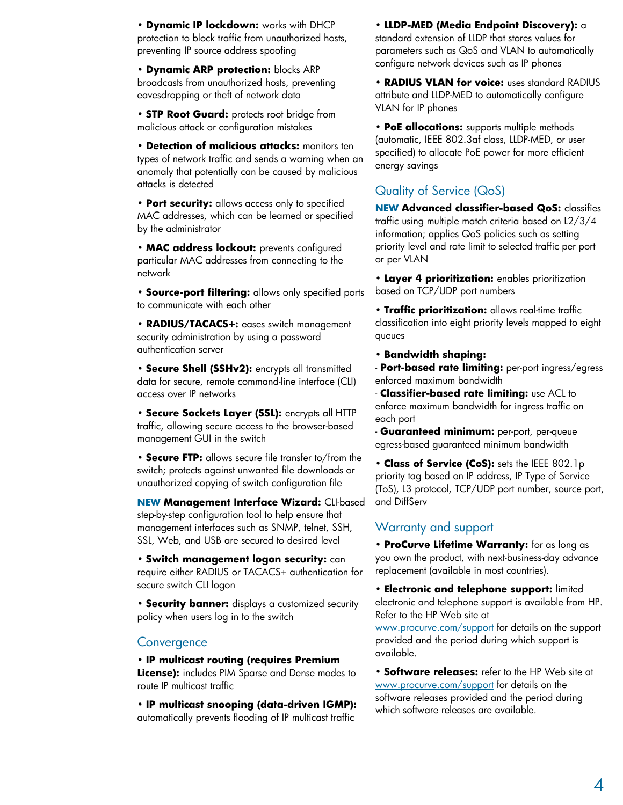• **Dynamic IP lockdown:** works with DHCP protection to block traffic from unauthorized hosts, preventing IP source address spoofing

• **Dynamic ARP protection:** blocks ARP broadcasts from unauthorized hosts, preventing eavesdropping or theft of network data

• **STP Root Guard:** protects root bridge from malicious attack or configuration mistakes

• **Detection of malicious attacks:** monitors ten types of network traffic and sends a warning when an anomaly that potentially can be caused by malicious attacks is detected

• **Port security:** allows access only to specified MAC addresses, which can be learned or specified by the administrator

• **MAC address lockout:** prevents configured particular MAC addresses from connecting to the network

• **Source-port filtering:** allows only specified ports to communicate with each other

• **RADIUS/TACACS+:** eases switch management security administration by using a password authentication server

• **Secure Shell (SSHv2):** encrypts all transmitted data for secure, remote command-line interface (CLI) access over IP networks

• **Secure Sockets Layer (SSL):** encrypts all HTTP traffic, allowing secure access to the browser-based management GUI in the switch

• **Secure FTP:** allows secure file transfer to/from the switch; protects against unwanted file downloads or unauthorized copying of switch configuration file

**NEW Management Interface Wizard:** CLI-based step-by-step configuration tool to help ensure that management interfaces such as SNMP, telnet, SSH, SSL, Web, and USB are secured to desired level

• **Switch management logon security:** can require either RADIUS or TACACS+ authentication for secure switch CLI logon

• **Security banner:** displays a customized security policy when users log in to the switch

#### **Convergence**

• **IP multicast routing (requires Premium License):** includes PIM Sparse and Dense modes to route IP multicast traffic

• **IP multicast snooping (data-driven IGMP):** automatically prevents flooding of IP multicast traffic

• **LLDP-MED (Media Endpoint Discovery):** a standard extension of LLDP that stores values for parameters such as QoS and VLAN to automatically configure network devices such as IP phones

• **RADIUS VLAN for voice:** uses standard RADIUS attribute and LLDP-MED to automatically configure VLAN for IP phones

• **PoE allocations:** supports multiple methods (automatic, IEEE 802.3af class, LLDP-MED, or user specified) to allocate PoE power for more efficient energy savings

#### Quality of Service (QoS)

**NEW Advanced classifier-based QoS:** classifies traffic using multiple match criteria based on L2/3/4 information; applies QoS policies such as setting priority level and rate limit to selected traffic per port or per VLAN

• **Layer 4 prioritization:** enables prioritization based on TCP/UDP port numbers

• **Traffic prioritization:** allows real-time traffic classification into eight priority levels mapped to eight queues

• **Bandwidth shaping:**

- **Port-based rate limiting:** per-port ingress/egress enforced maximum bandwidth

- **Classifier-based rate limiting:** use ACL to enforce maximum bandwidth for ingress traffic on each port

- **Guaranteed minimum:** per-port, per-queue egress-based guaranteed minimum bandwidth

• **Class of Service (CoS):** sets the IEEE 802.1p priority tag based on IP address, IP Type of Service (ToS), L3 protocol, TCP/UDP port number, source port, and DiffServ

#### Warranty and support

• **ProCurve Lifetime Warranty:** for as long as you own the product, with next-business-day advance replacement (available in most countries).

• **Electronic and telephone support:** limited electronic and telephone support is available from HP. Refer to the HP Web site at

www.procurve.com/support for details on the support provided and the period during which support is available.

• **Software releases:** refer to the HP Web site at www.procurve.com/support for details on the software releases provided and the period during which software releases are available.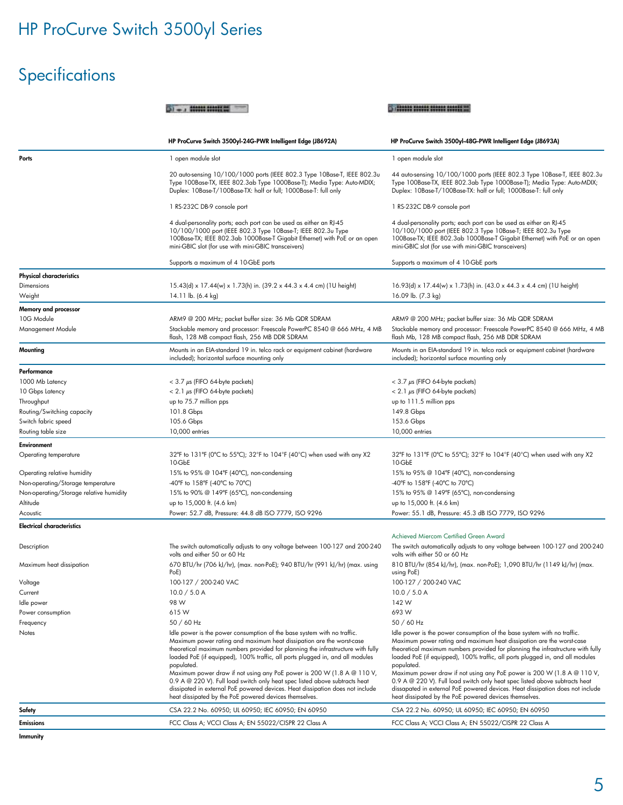# Specifications

|                                               |                                                                                                                                                                                                                                                                                                                                                                                                                                                                                                                                                                                                                                       | <b>ED INDUCES SURFUE STATISTICS</b>                                                                                                                                                                                                                                                                                                                                                                                                                                                                                                                                                                                                   |  |
|-----------------------------------------------|---------------------------------------------------------------------------------------------------------------------------------------------------------------------------------------------------------------------------------------------------------------------------------------------------------------------------------------------------------------------------------------------------------------------------------------------------------------------------------------------------------------------------------------------------------------------------------------------------------------------------------------|---------------------------------------------------------------------------------------------------------------------------------------------------------------------------------------------------------------------------------------------------------------------------------------------------------------------------------------------------------------------------------------------------------------------------------------------------------------------------------------------------------------------------------------------------------------------------------------------------------------------------------------|--|
|                                               | HP ProCurve Switch 3500yl-24G-PWR Intelligent Edge (J8692A)                                                                                                                                                                                                                                                                                                                                                                                                                                                                                                                                                                           | HP ProCurve Switch 3500yl-48G-PWR Intelligent Edge (J8693A)                                                                                                                                                                                                                                                                                                                                                                                                                                                                                                                                                                           |  |
| Ports                                         | 1 open module slot                                                                                                                                                                                                                                                                                                                                                                                                                                                                                                                                                                                                                    | 1 open module slot                                                                                                                                                                                                                                                                                                                                                                                                                                                                                                                                                                                                                    |  |
|                                               | 20 auto-sensing 10/100/1000 ports (IEEE 802.3 Type 10Base-T, IEEE 802.3u<br>Type 100Base-TX, IEEE 802.3ab Type 1000Base-T); Media Type: Auto-MDIX;<br>Duplex: 10Base-T/100Base-TX: half or full; 1000Base-T: full only                                                                                                                                                                                                                                                                                                                                                                                                                | 44 auto-sensing 10/100/1000 ports (IEEE 802.3 Type 10Base-T, IEEE 802.3u<br>Type 100Base-TX, IEEE 802.3ab Type 1000Base-T); Media Type: Auto-MDIX;<br>Duplex: 10Base-T/100Base-TX: half or full; 1000Base-T: full only                                                                                                                                                                                                                                                                                                                                                                                                                |  |
|                                               | 1 RS-232C DB-9 console port                                                                                                                                                                                                                                                                                                                                                                                                                                                                                                                                                                                                           | 1 RS-232C DB-9 console port                                                                                                                                                                                                                                                                                                                                                                                                                                                                                                                                                                                                           |  |
|                                               | 4 dual-personality ports; each port can be used as either an RJ-45<br>10/100/1000 port (IEEE 802.3 Type 10Base-T; IEEE 802.3u Type<br>100Base-TX; IEEE 802.3ab 1000Base-T Gigabit Ethernet) with PoE or an open<br>mini-GBIC slot (for use with mini-GBIC transceivers)                                                                                                                                                                                                                                                                                                                                                               | 4 dual-personality ports; each port can be used as either an RJ-45<br>10/100/1000 port (IEEE 802.3 Type 10Base-T; IEEE 802.3u Type<br>100Base-TX; IEEE 802.3ab 1000Base-T Gigabit Ethernet) with PoE or an open<br>mini-GBIC slot (for use with mini-GBIC transceivers)                                                                                                                                                                                                                                                                                                                                                               |  |
|                                               | Supports a maximum of 4 10-GbE ports                                                                                                                                                                                                                                                                                                                                                                                                                                                                                                                                                                                                  | Supports a maximum of 4 10-GbE ports                                                                                                                                                                                                                                                                                                                                                                                                                                                                                                                                                                                                  |  |
| <b>Physical characteristics</b>               |                                                                                                                                                                                                                                                                                                                                                                                                                                                                                                                                                                                                                                       |                                                                                                                                                                                                                                                                                                                                                                                                                                                                                                                                                                                                                                       |  |
| Dimensions<br>Weight                          | 15.43(d) x 17.44(w) x 1.73(h) in. (39.2 x 44.3 x 4.4 cm) (1U height)<br>14.11 lb. (6.4 kg)                                                                                                                                                                                                                                                                                                                                                                                                                                                                                                                                            | 16.93(d) x 17.44(w) x 1.73(h) in. (43.0 x 44.3 x 4.4 cm) (1U height)<br>16.09 lb. (7.3 kg)                                                                                                                                                                                                                                                                                                                                                                                                                                                                                                                                            |  |
| Memory and processor                          |                                                                                                                                                                                                                                                                                                                                                                                                                                                                                                                                                                                                                                       |                                                                                                                                                                                                                                                                                                                                                                                                                                                                                                                                                                                                                                       |  |
| 10G Module                                    | ARM9 @ 200 MHz; packet buffer size: 36 Mb QDR SDRAM                                                                                                                                                                                                                                                                                                                                                                                                                                                                                                                                                                                   | ARM9 @ 200 MHz; packet buffer size: 36 Mb QDR SDRAM                                                                                                                                                                                                                                                                                                                                                                                                                                                                                                                                                                                   |  |
| Management Module                             | Stackable memory and processor: Freescale PowerPC 8540 @ 666 MHz, 4 MB<br>flash, 128 MB compact flash, 256 MB DDR SDRAM                                                                                                                                                                                                                                                                                                                                                                                                                                                                                                               | Stackable memory and processor: Freescale PowerPC 8540 @ 666 MHz, 4 MB<br>flash Mb, 128 MB compact flash, 256 MB DDR SDRAM                                                                                                                                                                                                                                                                                                                                                                                                                                                                                                            |  |
| Mounting                                      | Mounts in an EIA-standard 19 in. telco rack or equipment cabinet (hardware<br>included); horizontal surface mounting only                                                                                                                                                                                                                                                                                                                                                                                                                                                                                                             | Mounts in an EIA-standard 19 in. telco rack or equipment cabinet (hardware<br>included); horizontal surface mounting only                                                                                                                                                                                                                                                                                                                                                                                                                                                                                                             |  |
| Performance                                   |                                                                                                                                                                                                                                                                                                                                                                                                                                                                                                                                                                                                                                       |                                                                                                                                                                                                                                                                                                                                                                                                                                                                                                                                                                                                                                       |  |
| 1000 Mb Latency                               | $<$ 3.7 $\mu$ s (FIFO 64-byte packets)                                                                                                                                                                                                                                                                                                                                                                                                                                                                                                                                                                                                | $<$ 3.7 $\mu$ s (FIFO 64-byte packets)                                                                                                                                                                                                                                                                                                                                                                                                                                                                                                                                                                                                |  |
| 10 Gbps Latency                               | $< 2.1 \mu s$ (FIFO 64-byte packets)                                                                                                                                                                                                                                                                                                                                                                                                                                                                                                                                                                                                  | $< 2.1 \mu s$ (FIFO 64-byte packets)                                                                                                                                                                                                                                                                                                                                                                                                                                                                                                                                                                                                  |  |
| Throughput                                    | up to 75.7 million pps                                                                                                                                                                                                                                                                                                                                                                                                                                                                                                                                                                                                                | up to 111.5 million pps                                                                                                                                                                                                                                                                                                                                                                                                                                                                                                                                                                                                               |  |
| Routing/Switching capacity                    | 101.8 Gbps                                                                                                                                                                                                                                                                                                                                                                                                                                                                                                                                                                                                                            | 149.8 Gbps                                                                                                                                                                                                                                                                                                                                                                                                                                                                                                                                                                                                                            |  |
| Switch fabric speed                           | 105.6 Gbps                                                                                                                                                                                                                                                                                                                                                                                                                                                                                                                                                                                                                            | 153.6 Gbps                                                                                                                                                                                                                                                                                                                                                                                                                                                                                                                                                                                                                            |  |
| Routing table size                            | 10,000 entries                                                                                                                                                                                                                                                                                                                                                                                                                                                                                                                                                                                                                        | 10,000 entries                                                                                                                                                                                                                                                                                                                                                                                                                                                                                                                                                                                                                        |  |
| Environment                                   |                                                                                                                                                                                                                                                                                                                                                                                                                                                                                                                                                                                                                                       |                                                                                                                                                                                                                                                                                                                                                                                                                                                                                                                                                                                                                                       |  |
| Operating temperature                         | 32°F to 131°F (0°C to 55°C); 32°F to 104°F (40°C) when used with any X2<br>10-GbE                                                                                                                                                                                                                                                                                                                                                                                                                                                                                                                                                     | 32°F to 131°F (0°C to 55°C); 32°F to 104°F (40°C) when used with any X2<br>10-GbE                                                                                                                                                                                                                                                                                                                                                                                                                                                                                                                                                     |  |
| Operating relative humidity                   | 15% to 95% @ 104°F (40°C), non-condensing                                                                                                                                                                                                                                                                                                                                                                                                                                                                                                                                                                                             | 15% to 95% @ 104°F (40°C), non-condensing                                                                                                                                                                                                                                                                                                                                                                                                                                                                                                                                                                                             |  |
| Non-operating/Storage temperature             | -40°F to 158°F (-40°C to 70°C)                                                                                                                                                                                                                                                                                                                                                                                                                                                                                                                                                                                                        | $-40^{\circ}$ F to 158°F (-40°C to 70°C)                                                                                                                                                                                                                                                                                                                                                                                                                                                                                                                                                                                              |  |
| Non-operating/Storage relative humidity       | 15% to 90% @ 149°F (65°C), non-condensing                                                                                                                                                                                                                                                                                                                                                                                                                                                                                                                                                                                             | 15% to 95% @ 149°F (65°C), non-condensing                                                                                                                                                                                                                                                                                                                                                                                                                                                                                                                                                                                             |  |
| Altitude                                      | up to 15,000 ft. (4.6 km)                                                                                                                                                                                                                                                                                                                                                                                                                                                                                                                                                                                                             | up to 15,000 ft. (4.6 km)                                                                                                                                                                                                                                                                                                                                                                                                                                                                                                                                                                                                             |  |
| Acoustic<br><b>Electrical characteristics</b> | Power: 52.7 dB, Pressure: 44.8 dB ISO 7779, ISO 9296                                                                                                                                                                                                                                                                                                                                                                                                                                                                                                                                                                                  | Power: 55.1 dB, Pressure: 45.3 dB ISO 7779, ISO 9296                                                                                                                                                                                                                                                                                                                                                                                                                                                                                                                                                                                  |  |
|                                               |                                                                                                                                                                                                                                                                                                                                                                                                                                                                                                                                                                                                                                       | Achieved Miercom Certified Green Award                                                                                                                                                                                                                                                                                                                                                                                                                                                                                                                                                                                                |  |
| Description                                   | The switch automatically adjusts to any voltage between 100-127 and 200-240<br>volts and either 50 or 60 Hz                                                                                                                                                                                                                                                                                                                                                                                                                                                                                                                           | The switch automatically adjusts to any voltage between 100-127 and 200-240<br>volts with either 50 or 60 Hz                                                                                                                                                                                                                                                                                                                                                                                                                                                                                                                          |  |
| Maximum heat dissipation                      | 670 BTU/hr (706 kJ/hr), (max. non-PoE); 940 BTU/hr (991 kJ/hr) (max. using<br>PoE)                                                                                                                                                                                                                                                                                                                                                                                                                                                                                                                                                    | 810 BTU/hr (854 kJ/hr), (max. non-PoE); 1,090 BTU/hr (1149 kJ/hr) (max.<br>using PoE)                                                                                                                                                                                                                                                                                                                                                                                                                                                                                                                                                 |  |
| Voltage                                       | 100-127 / 200-240 VAC                                                                                                                                                                                                                                                                                                                                                                                                                                                                                                                                                                                                                 | 100-127 / 200-240 VAC                                                                                                                                                                                                                                                                                                                                                                                                                                                                                                                                                                                                                 |  |
| Current                                       | 10.0 / 5.0 A                                                                                                                                                                                                                                                                                                                                                                                                                                                                                                                                                                                                                          | 10.0 / 5.0 A                                                                                                                                                                                                                                                                                                                                                                                                                                                                                                                                                                                                                          |  |
| Idle power                                    | 98 W                                                                                                                                                                                                                                                                                                                                                                                                                                                                                                                                                                                                                                  | 142 W                                                                                                                                                                                                                                                                                                                                                                                                                                                                                                                                                                                                                                 |  |
| Power consumption                             | 615W                                                                                                                                                                                                                                                                                                                                                                                                                                                                                                                                                                                                                                  | 693W<br>50 / 60 Hz                                                                                                                                                                                                                                                                                                                                                                                                                                                                                                                                                                                                                    |  |
| Frequency                                     | 50 / 60 Hz                                                                                                                                                                                                                                                                                                                                                                                                                                                                                                                                                                                                                            |                                                                                                                                                                                                                                                                                                                                                                                                                                                                                                                                                                                                                                       |  |
| Notes                                         | Idle power is the power consumption of the base system with no traffic.<br>Maximum power rating and maximum heat dissipation are the worst-case<br>theoretical maximum numbers provided for planning the infrastructure with fully<br>loaded PoE (if equipped), 100% traffic, all ports plugged in, and all modules<br>populated.<br>Maximum power draw if not using any PoE power is 200 W (1.8 A @ 110 V,<br>0.9 A @ 220 V). Full load switch only heat spec listed above subtracts heat<br>dissipated in external PoE powered devices. Heat dissipation does not include<br>heat dissipated by the PoE powered devices themselves. | Idle power is the power consumption of the base system with no traffic.<br>Maximum power rating and maximum heat dissipation are the worst-case<br>theoretical maximum numbers provided for planning the infrastructure with fully<br>loaded PoE (if equipped), 100% traffic, all ports plugged in, and all modules<br>populated.<br>Maximum power draw if not using any PoE power is 200 W (1.8 A @ 110 V,<br>0.9 A @ 220 V). Full load switch only heat spec listed above subtracts heat<br>dissapated in external PoE powered devices. Heat dissipation does not include<br>heat dissipated by the PoE powered devices themselves. |  |
| Safety                                        | CSA 22.2 No. 60950; UL 60950; IEC 60950; EN 60950                                                                                                                                                                                                                                                                                                                                                                                                                                                                                                                                                                                     | CSA 22.2 No. 60950; UL 60950; IEC 60950; EN 60950                                                                                                                                                                                                                                                                                                                                                                                                                                                                                                                                                                                     |  |
| Emissions                                     | FCC Class A; VCCI Class A; EN 55022/CISPR 22 Class A                                                                                                                                                                                                                                                                                                                                                                                                                                                                                                                                                                                  | FCC Class A; VCCI Class A; EN 55022/CISPR 22 Class A                                                                                                                                                                                                                                                                                                                                                                                                                                                                                                                                                                                  |  |
|                                               |                                                                                                                                                                                                                                                                                                                                                                                                                                                                                                                                                                                                                                       |                                                                                                                                                                                                                                                                                                                                                                                                                                                                                                                                                                                                                                       |  |

Immunity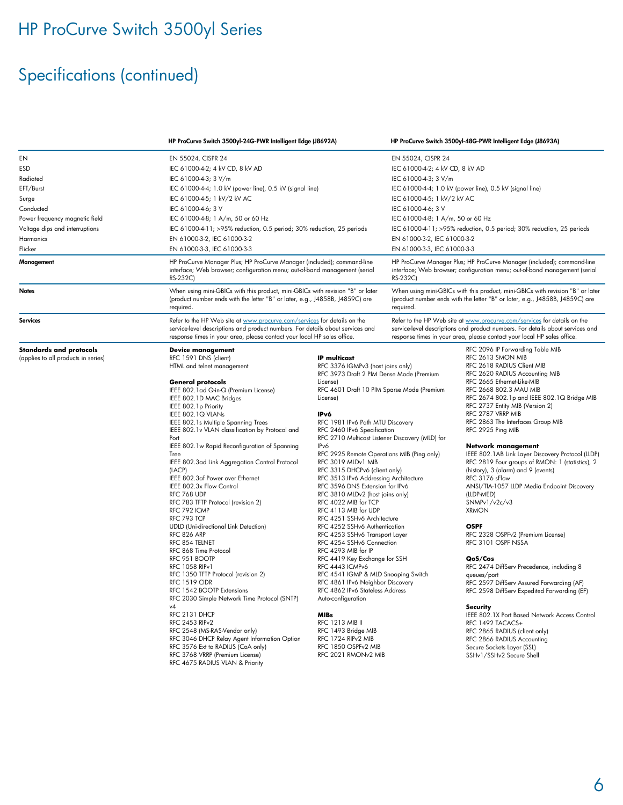# HP ProCurve Switch 3500yl Series

# Specifications (continued)

|                                                                                                                                                                    |                                                                                                                                                                                                                                                                                                                                                                                                                                                                                                                                                                                                                                                                                                                                                                                                                                                                                                                                                                                                                                                                                                                                                   | HP ProCurve Switch 3500yl-24G-PWR Intelligent Edge (J8692A)                                                                                                                                                                                                                                                                                                                                                                                                                                                                                                                                                                                                                                                                                                                                                                                                                                                                                                                                                                                                                   |                                                                                                                                                                                                                                                                                                                                                                                                                                                                                                                                    | HP ProCurve Switch 3500yl-48G-PWR Intelligent Edge (J8693A)                                                                                                                                                                                                                                                                                                                                                                                                                                                                                                                                                                                                                                                                                                                                                                                                                                                                                                                                                                                                                               |  |
|--------------------------------------------------------------------------------------------------------------------------------------------------------------------|---------------------------------------------------------------------------------------------------------------------------------------------------------------------------------------------------------------------------------------------------------------------------------------------------------------------------------------------------------------------------------------------------------------------------------------------------------------------------------------------------------------------------------------------------------------------------------------------------------------------------------------------------------------------------------------------------------------------------------------------------------------------------------------------------------------------------------------------------------------------------------------------------------------------------------------------------------------------------------------------------------------------------------------------------------------------------------------------------------------------------------------------------|-------------------------------------------------------------------------------------------------------------------------------------------------------------------------------------------------------------------------------------------------------------------------------------------------------------------------------------------------------------------------------------------------------------------------------------------------------------------------------------------------------------------------------------------------------------------------------------------------------------------------------------------------------------------------------------------------------------------------------------------------------------------------------------------------------------------------------------------------------------------------------------------------------------------------------------------------------------------------------------------------------------------------------------------------------------------------------|------------------------------------------------------------------------------------------------------------------------------------------------------------------------------------------------------------------------------------------------------------------------------------------------------------------------------------------------------------------------------------------------------------------------------------------------------------------------------------------------------------------------------------|-------------------------------------------------------------------------------------------------------------------------------------------------------------------------------------------------------------------------------------------------------------------------------------------------------------------------------------------------------------------------------------------------------------------------------------------------------------------------------------------------------------------------------------------------------------------------------------------------------------------------------------------------------------------------------------------------------------------------------------------------------------------------------------------------------------------------------------------------------------------------------------------------------------------------------------------------------------------------------------------------------------------------------------------------------------------------------------------|--|
| EN<br>ESD<br>Radiated<br>EFT/Burst<br>Surge<br>Conducted<br>Power frequency magnetic field<br>Voltage dips and interruptions<br>Harmonics<br>Flicker<br>Management | EN 55024, CISPR 24<br>IEC 61000-4-2; 4 kV CD, 8 kV AD<br>IEC 61000-4-3; 3 V/m<br>IEC 61000-4-4; 1.0 kV (power line), 0.5 kV (signal line)<br>IEC 61000-4-5; 1 kV/2 kV AC<br>IEC 61000-4-6; 3 V<br>IEC 61000-4-8; 1 A/m, 50 or 60 Hz<br>IEC 61000-4-11; >95% reduction, 0.5 period; 30% reduction, 25 periods<br>EN 61000-3-2, IEC 61000-3-2<br>EN 61000-3-3, IEC 61000-3-3<br>HP ProCurve Manager Plus; HP ProCurve Manager (included); command-line<br>interface; Web browser; configuration menu; out-of-band management (serial                                                                                                                                                                                                                                                                                                                                                                                                                                                                                                                                                                                                                |                                                                                                                                                                                                                                                                                                                                                                                                                                                                                                                                                                                                                                                                                                                                                                                                                                                                                                                                                                                                                                                                               | EN 55024, CISPR 24<br>IEC 61000-4-2; 4 kV CD, 8 kV AD<br>IEC 61000-4-3; 3 V/m<br>IEC 61000-4-4; 1.0 kV (power line), 0.5 kV (signal line)<br>IEC 61000-4-5; 1 kV/2 kV AC<br>IEC 61000-4-6; 3 V<br>IEC 61000-4-8; 1 A/m, 50 or 60 Hz<br>IEC 61000-4-11; >95% reduction, 0.5 period; 30% reduction, 25 periods<br>EN 61000-3-2, IEC 61000-3-2<br>EN 61000-3-3, IEC 61000-3-3<br>HP ProCurve Manager Plus; HP ProCurve Manager (included); command-line<br>interface; Web browser; configuration menu; out-of-band management (serial |                                                                                                                                                                                                                                                                                                                                                                                                                                                                                                                                                                                                                                                                                                                                                                                                                                                                                                                                                                                                                                                                                           |  |
| Notes                                                                                                                                                              | RS-232C)<br>When using mini-GBICs with this product, mini-GBICs with revision "B" or later<br>(product number ends with the letter "B" or later, e.g., J4858B, J4859C) are<br>required.                                                                                                                                                                                                                                                                                                                                                                                                                                                                                                                                                                                                                                                                                                                                                                                                                                                                                                                                                           | RS-232C)<br>required.                                                                                                                                                                                                                                                                                                                                                                                                                                                                                                                                                                                                                                                                                                                                                                                                                                                                                                                                                                                                                                                         |                                                                                                                                                                                                                                                                                                                                                                                                                                                                                                                                    | When using mini-GBICs with this product, mini-GBICs with revision "B" or later<br>(product number ends with the letter "B" or later, e.g., J4858B, J4859C) are                                                                                                                                                                                                                                                                                                                                                                                                                                                                                                                                                                                                                                                                                                                                                                                                                                                                                                                            |  |
| <b>Services</b>                                                                                                                                                    | Refer to the HP Web site at www.procurve.com/services for details on the<br>service-level descriptions and product numbers. For details about services and<br>response times in your area, please contact your local HP sales office.                                                                                                                                                                                                                                                                                                                                                                                                                                                                                                                                                                                                                                                                                                                                                                                                                                                                                                             | Refer to the HP Web site at www.procurve.com/services for details on the<br>service-level descriptions and product numbers. For details about services and<br>response times in your area, please contact your local HP sales office.                                                                                                                                                                                                                                                                                                                                                                                                                                                                                                                                                                                                                                                                                                                                                                                                                                         |                                                                                                                                                                                                                                                                                                                                                                                                                                                                                                                                    |                                                                                                                                                                                                                                                                                                                                                                                                                                                                                                                                                                                                                                                                                                                                                                                                                                                                                                                                                                                                                                                                                           |  |
| <b>Standards and protocols</b><br>(applies to all products in series)                                                                                              | <b>Device management</b><br>RFC 1591 DNS (client)<br>HTML and telnet management<br><b>General protocols</b><br>IEEE 802.1ad Q-in-Q (Premium License)<br>IEEE 802.1D MAC Bridges<br>IEEE 802.1p Priority<br>IEEE 802.1Q VLANs<br>IEEE 802.1s Multiple Spanning Trees<br>IEEE 802.1v VLAN classification by Protocol and<br>Port<br>IEEE 802.1w Rapid Reconfiguration of Spanning<br>Tree<br>IEEE 802.3ad Link Aggregation Control Protocol<br>(LACP)<br>IEEE 802.3af Power over Ethernet<br>IEEE 802.3x Flow Control<br>RFC 768 UDP<br>RFC 783 TFTP Protocol (revision 2)<br>RFC 792 ICMP<br>RFC 793 TCP<br><b>UDLD</b> (Uni-directional Link Detection)<br>RFC 826 ARP<br>RFC 854 TELNET<br>RFC 868 Time Protocol<br>RFC 951 BOOTP<br>RFC 1058 RIPv1<br>RFC 1350 TFTP Protocol (revision 2)<br><b>RFC 1519 CIDR</b><br>RFC 1542 BOOTP Extensions<br>RFC 2030 Simple Network Time Protocol (SNTP)<br>v4<br>RFC 2131 DHCP<br>RFC 2453 RIP <sub>v2</sub><br>RFC 2548 (MS-RAS-Vendor only)<br>RFC 3046 DHCP Relay Agent Information Option<br>RFC 3576 Ext to RADIUS (CoA only)<br>RFC 3768 VRRP (Premium License)<br>RFC 4675 RADIUS VLAN & Priority | <b>IP</b> multicast<br>RFC 3376 IGMPv3 (host joins only)<br>RFC 3973 Draft 2 PIM Dense Mode (Premium<br>License)<br>RFC 4601 Draft 10 PIM Sparse Mode (Premium<br>License)<br>IPv6<br>RFC 1981 IPv6 Path MTU Discovery<br>RFC 2460 IPv6 Specification<br>RFC 2710 Multicast Listener Discovery (MLD) for<br>IP <sub>v</sub> 6<br>RFC 2925 Remote Operations MIB (Ping only)<br>RFC 3019 MLDv1 MIB<br>RFC 3315 DHCPv6 (client only)<br>RFC 3513 IPv6 Addressing Architecture<br>RFC 3596 DNS Extension for IPv6<br>RFC 3810 MLDv2 (host joins only)<br>RFC 4022 MIB for TCP<br>RFC 4113 MIB for UDP<br>RFC 4251 SSHv6 Architecture<br>RFC 4252 SSHv6 Authentication<br>RFC 4253 SSHv6 Transport Layer<br>RFC 4254 SSHv6 Connection<br>RFC 4293 MIB for IP<br>RFC 4419 Key Exchange for SSH<br>RFC 4443 ICMPv6<br>RFC 4541 IGMP & MLD Snooping Switch<br>RFC 4861 IPv6 Neighbor Discovery<br>RFC 4862 IPv6 Stateless Address<br>Auto-configuration<br>MIBs<br><b>RFC 1213 MIB II</b><br>RFC 1493 Bridge MIB<br>RFC 1724 RIPv2 MIB<br>RFC 1850 OSPFv2 MIB<br>RFC 2021 RMONv2 MIB |                                                                                                                                                                                                                                                                                                                                                                                                                                                                                                                                    | RFC 2096 IP Forwarding Table MIB<br>RFC 2613 SMON MIB<br>RFC 2618 RADIUS Client MIB<br>RFC 2620 RADIUS Accounting MIB<br>RFC 2665 Ethernet-Like-MIB<br>RFC 2668 802.3 MAU MIB<br>RFC 2674 802.1p and IEEE 802.1Q Bridge MIB<br>RFC 2737 Entity MIB (Version 2)<br>RFC 2787 VRRP MIB<br>RFC 2863 The Interfaces Group MIB<br>RFC 2925 Ping MIB<br>Network management<br>IEEE 802.1AB Link Layer Discovery Protocol (LLDP)<br>RFC 2819 Four groups of RMON: 1 (statistics), 2<br>(history), 3 (alarm) and 9 (events)<br>RFC 3176 sFlow<br>ANSI/TIA-1057 LLDP Media Endpoint Discovery<br>(LLDP-MED)<br>SNMPv1/v2c/v3<br><b>XRMON</b><br><b>OSPF</b><br>RFC 2328 OSPFv2 (Premium License)<br>RFC 3101 OSPF NSSA<br>QoS/Cos<br>RFC 2474 DiffServ Precedence, including 8<br>queues/port<br>RFC 2597 DiffServ Assured Forwarding (AF)<br>RFC 2598 DiffServ Expedited Forwarding (EF)<br>Security<br>IEEE 802.1X Port Based Network Access Control<br>RFC 1492 TACACS+<br>RFC 2865 RADIUS (client only)<br>RFC 2866 RADIUS Accounting<br>Secure Sockets Layer (SSL)<br>SSHv1/SSHv2 Secure Shell |  |